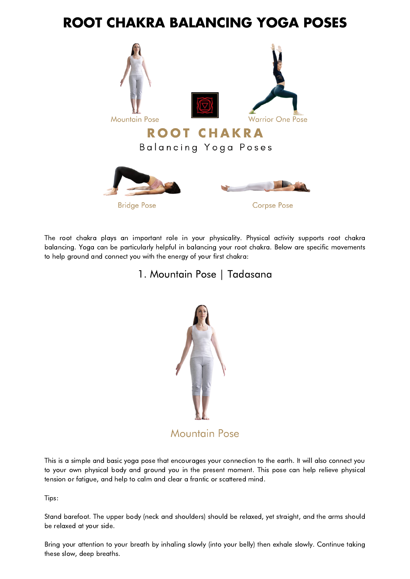# **ROOT CHAKRA BALANCING YOGA POSES**



The root chakra plays an important role in your physicality. Physical activity supports root chakra balancing. Yoga can be particularly helpful in balancing your root chakra. Below are specific movements to help ground and connect you with the energy of your first chakra:

# 1. Mountain Pose | Tadasana



This is a simple and basic yoga pose that encourages your connection to the earth. It will also connect you to your own physical body and ground you in the present moment. This pose can help relieve physical tension or fatigue, and help to calm and clear a frantic or scattered mind.

Tips:

Stand barefoot. The upper body (neck and shoulders) should be relaxed, yet straight, and the arms should be relaxed at your side.

Bring your attention to your breath by inhaling slowly (into your belly) then exhale slowly. Continue taking these slow, deep breaths.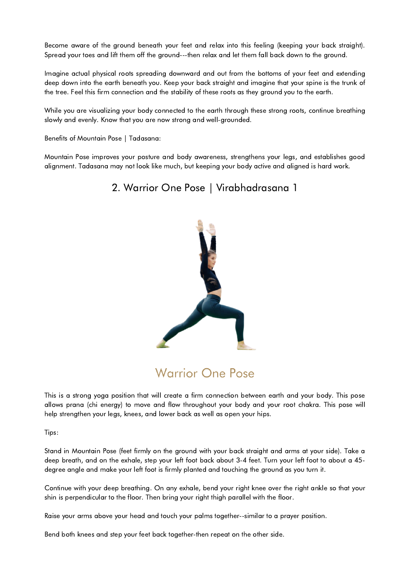Become aware of the ground beneath your feet and relax into this feeling (keeping your back straight). Spread your toes and lift them off the ground---then relax and let them fall back down to the ground.

Imagine actual physical roots spreading downward and out from the bottoms of your feet and extending deep down into the earth beneath you. Keep your back straight and imagine that your spine is the trunk of the tree. Feel this firm connection and the stability of these roots as they ground you to the earth.

While you are visualizing your body connected to the earth through these strong roots, continue breathing slowly and evenly. Know that you are now strong and well-grounded.

Benefits of Mountain Pose | Tadasana:

Mountain Pose improves your posture and body awareness, strengthens your legs, and establishes good alignment. Tadasana may not look like much, but keeping your body active and aligned is hard work.

### 2. Warrior One Pose | Virabhadrasana 1



# **Warrior One Pose**

This is a strong yoga position that will create a firm connection between earth and your body. This pose allows prana (chi energy) to move and flow throughout your body and your root chakra. This pose will help strengthen your legs, knees, and lower back as well as open your hips.

Tips:

Stand in Mountain Pose (feet firmly on the ground with your back straight and arms at your side). Take a deep breath, and on the exhale, step your left foot back about 3-4 feet. Turn your left foot to about a 45 degree angle and make your left foot is firmly planted and touching the ground as you turn it.

Continue with your deep breathing. On any exhale, bend your right knee over the right ankle so that your shin is perpendicular to the floor. Then bring your right thigh parallel with the floor.

Raise your arms above your head and touch your palms together--similar to a prayer position.

Bend both knees and step your feet back together-then repeat on the other side.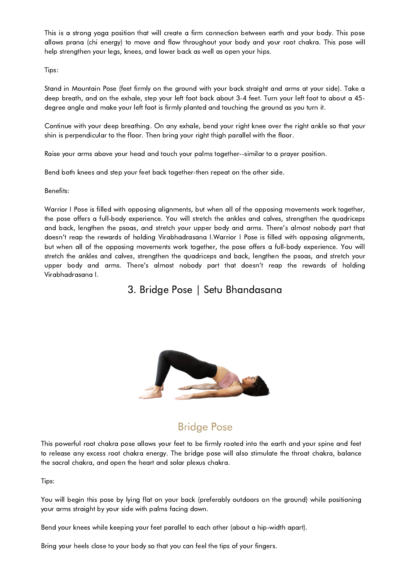This is a strong yoga position that will create a firm connection between earth and your body. This pose allows prana (chi energy) to move and flow throughout your body and your root chakra. This pose will help strengthen your legs, knees, and lower back as well as open your hips.

Tips:

Stand in Mountain Pose (feet firmly on the ground with your back straight and arms at your side). Take a deep breath, and on the exhale, step your left foot back about 3-4 feet. Turn your left foot to about a 45 degree angle and make your left foot is firmly planted and touching the ground as you turn it.

Continue with your deep breathing. On any exhale, bend your right knee over the right ankle so that your shin is perpendicular to the floor. Then bring your right thigh parallel with the floor.

Raise your arms above your head and touch your palms together--similar to a prayer position.

Bend both knees and step your feet back together-then repeat on the other side.

Benefits:

Warrior I Pose is filled with opposing alignments, but when all of the opposing movements work together, the pose offers a full-body experience. You will stretch the ankles and calves, strengthen the quadriceps and back, lengthen the psoas, and stretch your upper body and arms. There's almost nobody part that doesn't reap the rewards of holding Virabhadrasana I.Warrior I Pose is filled with opposing alignments, but when all of the opposing movements work together, the pose offers a full-body experience. You will stretch the ankles and calves, strengthen the quadriceps and back, lengthen the psoas, and stretch your upper body and arms. There's almost nobody part that doesn't reap the rewards of holding Virabhadrasana I.

3. Bridge Pose | Setu Bhandasana



# **Bridge Pose**

This powerful root chakra pose allows your feet to be firmly rooted into the earth and your spine and feet to release any excess root chakra energy. The bridge pose will also stimulate the throat chakra, balance the sacral chakra, and open the heart and solar plexus chakra.

Tips:

You will begin this pose by lying flat on your back (preferably outdoors on the ground) while positioning your arms straight by your side with palms facing down.

Bend your knees while keeping your feet parallel to each other (about a hip-width apart).

Bring your heels close to your body so that you can feel the tips of your fingers.